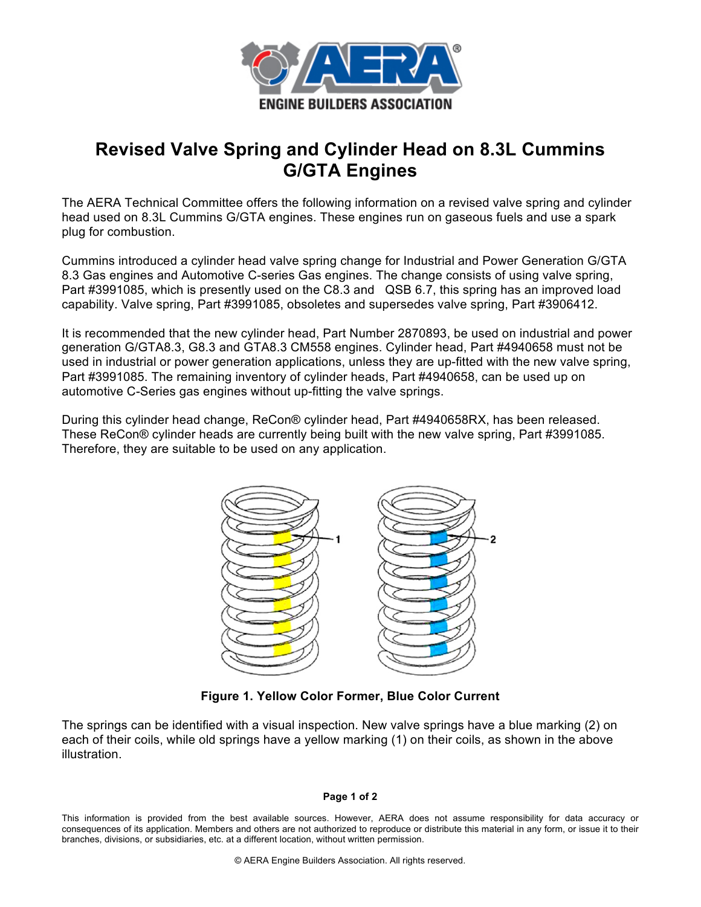

## **Revised Valve Spring and Cylinder Head on 8.3L Cummins G/GTA Engines**

The AERA Technical Committee offers the following information on a revised valve spring and cylinder head used on 8.3L Cummins G/GTA engines. These engines run on gaseous fuels and use a spark plug for combustion.

Cummins introduced a cylinder head valve spring change for Industrial and Power Generation G/GTA 8.3 Gas engines and Automotive C-series Gas engines. The change consists of using valve spring, Part #3991085, which is presently used on the C8.3 and QSB 6.7, this spring has an improved load capability. Valve spring, Part #3991085, obsoletes and supersedes valve spring, Part #3906412.

It is recommended that the new cylinder head, Part Number 2870893, be used on industrial and power generation G/GTA8.3, G8.3 and GTA8.3 CM558 engines. Cylinder head, Part #4940658 must not be used in industrial or power generation applications, unless they are up-fitted with the new valve spring, Part #3991085. The remaining inventory of cylinder heads, Part #4940658, can be used up on automotive C-Series gas engines without up-fitting the valve springs.

During this cylinder head change, ReCon® cylinder head, Part #4940658RX, has been released. These ReCon® cylinder heads are currently being built with the new valve spring, Part #3991085. Therefore, they are suitable to be used on any application.



**Figure 1. Yellow Color Former, Blue Color Current**

The springs can be identified with a visual inspection. New valve springs have a blue marking (2) on each of their coils, while old springs have a yellow marking (1) on their coils, as shown in the above illustration.

## **Page 1 of 2**

This information is provided from the best available sources. However, AERA does not assume responsibility for data accuracy or consequences of its application. Members and others are not authorized to reproduce or distribute this material in any form, or issue it to their branches, divisions, or subsidiaries, etc. at a different location, without written permission.